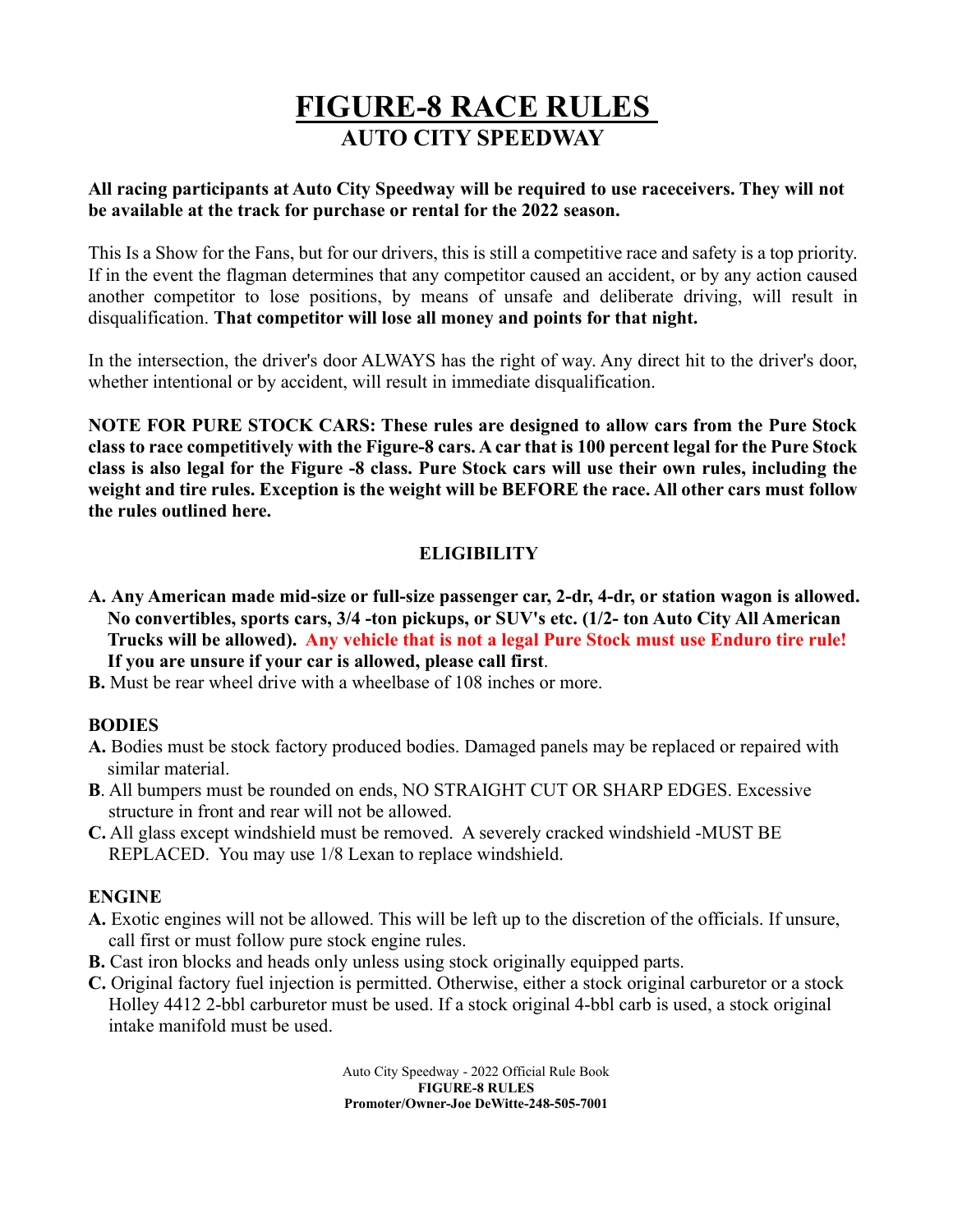# **FIGURE-8 RACE RULES AUTO CITY SPEEDWAY**

#### **All racing participants at Auto City Speedway will be required to use raceceivers. They will not be available at the track for purchase or rental for the 2022 season.**

This Is a Show for the Fans, but for our drivers, this is still a competitive race and safety is a top priority. If in the event the flagman determines that any competitor caused an accident, or by any action caused another competitor to lose positions, by means of unsafe and deliberate driving, will result in disqualification. **That competitor will lose all money and points for that night.**

In the intersection, the driver's door ALWAYS has the right of way. Any direct hit to the driver's door, whether intentional or by accident, will result in immediate disqualification.

**NOTE FOR PURE STOCK CARS: These rules are designed to allow cars from the Pure Stock class to race competitively with the Figure-8 cars. A car that is 100 percent legal for the Pure Stock class is also legal for the Figure -8 class. Pure Stock cars will use their own rules, including the weight and tire rules. Exception is the weight will be BEFORE the race. All other cars must follow the rules outlined here.**

# **ELIGIBILITY**

- **A. Any American made mid-size or full-size passenger car, 2-dr, 4-dr, or station wagon is allowed. No convertibles, sports cars, 3/4 -ton pickups, or SUV's etc. (1/2- ton Auto City All American Trucks will be allowed). Any vehicle that is not a legal Pure Stock must use Enduro tire rule! If you are unsure if your car is allowed, please call first**.
- **B.** Must be rear wheel drive with a wheelbase of 108 inches or more.

#### **BODIES**

- **A.** Bodies must be stock factory produced bodies. Damaged panels may be replaced or repaired with similar material.
- **B**. All bumpers must be rounded on ends, NO STRAIGHT CUT OR SHARP EDGES. Excessive structure in front and rear will not be allowed.
- **C.** All glass except windshield must be removed. A severely cracked windshield -MUST BE REPLACED. You may use 1/8 Lexan to replace windshield.

## **ENGINE**

- **A.** Exotic engines will not be allowed. This will be left up to the discretion of the officials. If unsure, call first or must follow pure stock engine rules.
- **B.** Cast iron blocks and heads only unless using stock originally equipped parts.
- **C.** Original factory fuel injection is permitted. Otherwise, either a stock original carburetor or a stock Holley 4412 2-bbl carburetor must be used. If a stock original 4-bbl carb is used, a stock original intake manifold must be used.

Auto City Speedway - 2022 Official Rule Book **FIGURE-8 RULES Promoter/Owner-Joe DeWitte-248-505-7001**